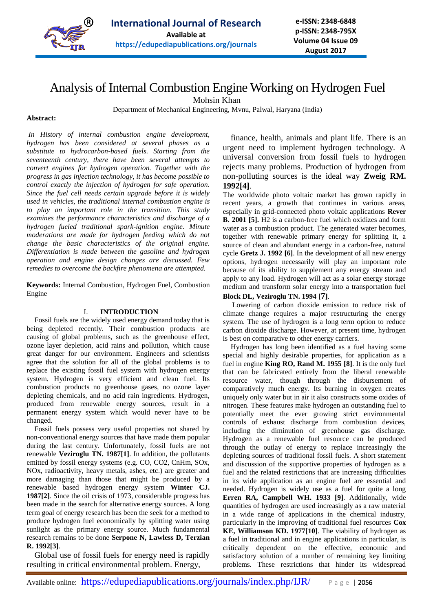

# Analysis of Internal Combustion Engine Working on Hydrogen Fuel

Mohsin Khan

Department of Mechanical Engineering, Mvnu, Palwal, Haryana (India)

# **Abstract:**

*In History of internal combustion engine development, hydrogen has been considered at several phases as a substitute to hydrocarbon-based fuels. Starting from the seventeenth century, there have been several attempts to convert engines for hydrogen operation. Together with the progress in gas injection technology, it has become possible to control exactly the injection of hydrogen for safe operation. Since the fuel cell needs certain upgrade before it is widely used in vehicles, the traditional internal combustion engine is to play an important role in the transition. This study examines the performance characteristics and discharge of a hydrogen fueled traditional spark-ignition engine. Minute moderations are made for hydrogen feeding which do not change the basic characteristics of the original engine. Differentiation is made between the gasoline and hydrogen operation and engine design changes are discussed. Few remedies to overcome the backfire phenomena are attempted.* 

**Keywords:** Internal Combustion, Hydrogen Fuel, Combustion Engine

# I. **INTRODUCTION**

Fossil fuels are the widely used energy demand today that is being depleted recently. Their combustion products are causing of global problems, such as the greenhouse effect, ozone layer depletion, acid rains and pollution, which cause great danger for our environment. Engineers and scientists agree that the solution for all of the global problems is to replace the existing fossil fuel system with hydrogen energy system. Hydrogen is very efficient and clean fuel. Its combustion products no greenhouse gases, no ozone layer depleting chemicals, and no acid rain ingredients. Hydrogen, produced from renewable energy sources, result in a permanent energy system which would never have to be changed.

Fossil fuels possess very useful properties not shared by non-conventional energy sources that have made them popular during the last century. Unfortunately, fossil fuels are not renewable **Veziroglu TN. 1987[1]**. In addition, the pollutants emitted by fossil energy systems (e.g. CO, CO2, CnHm, SOx, NOx, radioactivity, heavy metals, ashes, etc.) are greater and more damaging than those that might be produced by a renewable based hydrogen energy system **Winter CJ. 1987[2]**. Since the oil crisis of 1973, considerable progress has been made in the search for alternative energy sources. A long term goal of energy research has been the seek for a method to produce hydrogen fuel economically by splitting water using sunlight as the primary energy source. Much fundamental research remains to be done **Serpone N, Lawless D, Terzian R. 1992[3]**.

Global use of fossil fuels for energy need is rapidly resulting in critical environmental problem. Energy,

finance, health, animals and plant life. There is an urgent need to implement hydrogen technology. A universal conversion from fossil fuels to hydrogen rejects many problems. Production of hydrogen from non-polluting sources is the ideal way **Zweig RM. 1992[4]**.

The worldwide photo voltaic market has grown rapidly in recent years, a growth that continues in various areas, especially in grid-connected photo voltaic applications **Rever B. 2001 [5].** H2 is a carbon-free fuel which oxidizes and form water as a combustion product. The generated water becomes, together with renewable primary energy for splitting it, a source of clean and abundant energy in a carbon-free, natural cycle **Gretz J. 1992 [6]**. In the development of all new energy options, hydrogen necessarily will play an important role because of its ability to supplement any energy stream and apply to any load. Hydrogen will act as a solar energy storage medium and transform solar energy into a transportation fuel

# **Block DL, Veziroglu TN. 1994 [7]**.

Lowering of carbon dioxide emission to reduce risk of climate change requires a major restructuring the energy system. The use of hydrogen is a long term option to reduce carbon dioxide discharge. However, at present time, hydrogen is best on comparative to other energy carriers.

Hydrogen has long been identified as a fuel having some special and highly desirable properties, for application as a fuel in engine **King RO, Rand M. 1955 [8]**. It is the only fuel that can be fabricated entirely from the liberal renewable resource water, though through the disbursement of comparatively much energy. Its burning in oxygen creates uniquely only water but in air it also constructs some oxides of nitrogen. These features make hydrogen an outstanding fuel to potentially meet the ever growing strict environmental controls of exhaust discharge from combustion devices, including the diminution of greenhouse gas discharge. Hydrogen as a renewable fuel resource can be produced through the outlay of energy to replace increasingly the depleting sources of traditional fossil fuels. A short statement and discussion of the supportive properties of hydrogen as a fuel and the related restrictions that are increasing difficulties in its wide application as an engine fuel are essential and needed. Hydrogen is widely use as a fuel for quite a long **Erren RA, Campbell WH. 1933 [9]**. Additionally, wide quantities of hydrogen are used increasingly as a raw material in a wide range of applications in the chemical industry, particularly in the improving of traditional fuel resources **Cox KE, Williamson KD. 1977[10]**. The viability of hydrogen as a fuel in traditional and in engine applications in particular, is critically dependent on the effective, economic and satisfactory solution of a number of remaining key limiting problems. These restrictions that hinder its widespread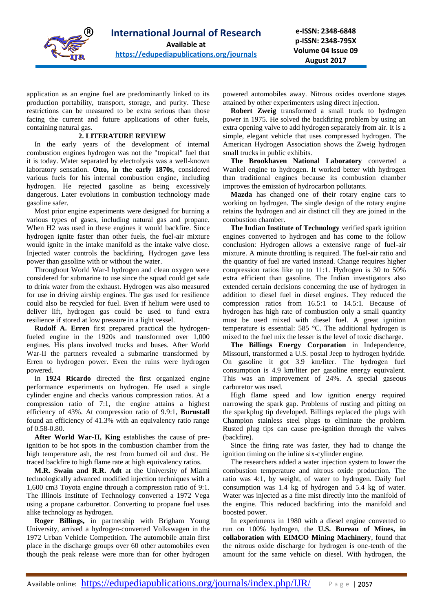

application as an engine fuel are predominantly linked to its production portability, transport, storage, and purity. These restrictions can be measured to be extra serious than those facing the current and future applications of other fuels, containing natural gas.

# **2. LITERATURE REVIEW**

In the early years of the development of internal combustion engines hydrogen was not the "tropical" fuel that it is today. Water separated by electrolysis was a well-known laboratory sensation. **Otto, in the early 1870s**, considered various fuels for his internal combustion engine, including hydrogen. He rejected gasoline as being excessively dangerous. Later evolutions in combustion technology made gasoline safer.

Most prior engine experiments were designed for burning a various types of gases, including natural gas and propane. When H2 was used in these engines it would backfire. Since hydrogen ignite faster than other fuels, the fuel-air mixture would ignite in the intake manifold as the intake valve close. Injected water controls the backfiring. Hydrogen gave less power than gasoline with or without the water.

Throughout World War-I hydrogen and clean oxygen were considered for submarine to use since the squad could get safe to drink water from the exhaust. Hydrogen was also measured for use in driving airship engines. The gas used for resilience could also be recycled for fuel. Even if helium were used to deliver lift, hydrogen gas could be used to fund extra resilience if stored at low pressure in a light vessel.

**Rudolf A. Erren** first prepared practical the hydrogenfueled engine in the 1920s and transformed over 1,000 engines. His plans involved trucks and buses. After World War-II the partners revealed a submarine transformed by Erren to hydrogen power. Even the ruins were hydrogen powered.

In **1924 Ricardo** directed the first organized engine performance experiments on hydrogen. He used a single cylinder engine and checks various compression ratios. At a compression ratio of 7:1, the engine attains a highest efficiency of 43%. At compression ratio of 9.9:1, **Burnstall**  found an efficiency of 41.3% with an equivalency ratio range of 0.58-0.80.

**After World War-II, King** establishes the cause of preignition to be hot spots in the combustion chamber from the high temperature ash, the rest from burned oil and dust. He traced backfire to high flame rate at high equivalency ratios.

**M.R. Swain and R.R. Adt** at the University of Miami technologically advanced modified injection techniques with a 1,600 cm3 Toyota engine through a compression ratio of 9:1. The Illinois Institute of Technology converted a 1972 Vega using a propane carburettor. Converting to propane fuel uses alike technology as hydrogen.

**Roger Billings,** in partnership with Brigham Young University, arrived a hydrogen-converted Volkswagen in the 1972 Urban Vehicle Competition. The automobile attain first place in the discharge groups over 60 other automobiles even though the peak release were more than for other hydrogen powered automobiles away. Nitrous oxides overdone stages attained by other experimenters using direct injection.

**Robert Zweig** transformed a small truck to hydrogen power in 1975. He solved the backfiring problem by using an extra opening valve to add hydrogen separately from air. It is a simple, elegant vehicle that uses compressed hydrogen. The American Hydrogen Association shows the Zweig hydrogen small trucks in public exhibits.

**The Brookhaven National Laboratory** converted a Wankel engine to hydrogen. It worked better with hydrogen than traditional engines because its combustion chamber improves the emission of hydrocarbon pollutants.

**Mazda** has changed one of their rotary engine cars to working on hydrogen. The single design of the rotary engine retains the hydrogen and air distinct till they are joined in the combustion chamber.

**The Indian Institute of Technology** verified spark ignition engines converted to hydrogen and has come to the follow conclusion: Hydrogen allows a extensive range of fuel-air mixture. A minute throttling is required. The fuel-air ratio and the quantity of fuel are varied instead. Change requires higher compression ratios like up to 11:1. Hydrogen is 30 to 50% extra efficient than gasoline. The Indian investigators also extended certain decisions concerning the use of hydrogen in addition to diesel fuel in diesel engines. They reduced the compression ratios from 16.5:1 to 14.5:1. Because of hydrogen has high rate of combustion only a small quantity must be used mixed with diesel fuel. A great ignition temperature is essential: 585 °C. The additional hydrogen is mixed to the fuel mix the lesser is the level of toxic discharge.

**The Billings Energy Corporation** in Independence, Missouri, transformed a U.S. postal Jeep to hydrogen hydride. On gasoline it got 3.9 km/liter. The hydrogen fuel consumption is 4.9 km/liter per gasoline energy equivalent. This was an improvement of 24%. A special gaseous carburetor was used.

High flame speed and low ignition energy required narrowing the spark gap. Problems of rusting and pitting on the sparkplug tip developed. Billings replaced the plugs with Champion stainless steel plugs to eliminate the problem. Rusted plug tips can cause pre-ignition through the valves (backfire).

Since the firing rate was faster, they had to change the ignition timing on the inline six-cylinder engine.

The researchers added a water injection system to lower the combustion temperature and nitrous oxide production. The ratio was 4:1, by weight, of water to hydrogen. Daily fuel consumption was 1.4 kg of hydrogen and 5.4 kg of water. Water was injected as a fine mist directly into the manifold of the engine. This reduced backfiring into the manifold and boosted power.

In experiments in 1980 with a diesel engine converted to run on 100% hydrogen, the **U.S. Bureau of Mines, in collaboration with EIMCO Mining Machinery**, found that the nitrous oxide discharge for hydrogen is one-tenth of the amount for the same vehicle on diesel. With hydrogen, the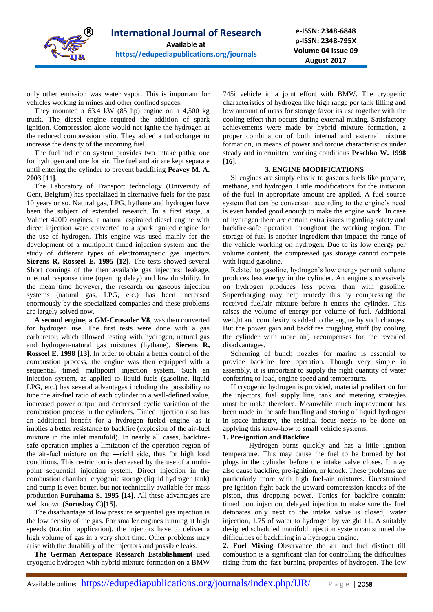

only other emission was water vapor. This is important for vehicles working in mines and other confined spaces.

They mounted a 63.4 kW (85 hp) engine on a 4,500 kg truck. The diesel engine required the addition of spark ignition. Compression alone would not ignite the hydrogen at the reduced compression ratio. They added a turbocharger to increase the density of the incoming fuel.

The fuel induction system provides two intake paths; one for hydrogen and one for air. The fuel and air are kept separate until entering the cylinder to prevent backfiring **Peavey M. A. 2003 [11].** 

The Laboratory of Transport technology (University of Gent, Belgium) has specialized in alternative fuels for the past 10 years or so. Natural gas, LPG, hythane and hydrogen have been the subject of extended research. In a first stage, a Valmet 420D engines, a natural aspirated diesel engine with direct injection were converted to a spark ignited engine for the use of hydrogen. This engine was used mainly for the development of a multipoint timed injection system and the study of different types of electromagnetic gas injectors **Sierens R, Rosseel E. 1995 [12]**. The tests showed several Short comings of the then available gas injectors: leakage, unequal response time (opening delay) and low durability. In the mean time however, the research on gaseous injection systems (natural gas, LPG, etc.) has been increased enormously by the specialized companies and these problems are largely solved now.

**A second engine, a GM-Crusader V8**, was then converted for hydrogen use. The first tests were done with a gas carburetor, which allowed testing with hydrogen, natural gas and hydrogen-natural gas mixtures (hythane), **Sierens R, Rosseel E. 1998 [13]**. In order to obtain a better control of the combustion process, the engine was then equipped with a sequential timed multipoint injection system. Such an injection system, as applied to liquid fuels (gasoline, liquid LPG, etc.) has several advantages including the possibility to tune the air-fuel ratio of each cylinder to a well-defined value, increased power output and decreased cyclic variation of the combustion process in the cylinders. Timed injection also has an additional benefit for a hydrogen fueled engine, as it implies a better resistance to backfire (explosion of the air-fuel mixture in the inlet manifold). In nearly all cases, backfiresafe operation implies a limitation of the operation region of the air-fuel mixture on the ―rich‖ side, thus for high load conditions. This restriction is decreased by the use of a multipoint sequential injection system. Direct injection in the combustion chamber, cryogenic storage (liquid hydrogen tank) and pump is even better, but not technically available for mass production **Furuhama S. 1995 [14]**. All these advantages are well known **(Sorusbay C)[15].**

The disadvantage of low pressure sequential gas injection is the low density of the gas. For smaller engines running at high speeds (traction application), the injectors have to deliver a high volume of gas in a very short time. Other problems may arise with the durability of the injectors and possible leaks.

**The German Aerospace Research Establishment** used cryogenic hydrogen with hybrid mixture formation on a BMW

745i vehicle in a joint effort with BMW. The cryogenic characteristics of hydrogen like high range per tank filling and low amount of mass for storage favor its use together with the cooling effect that occurs during external mixing. Satisfactory achievements were made by hybrid mixture formation, a proper combination of both internal and external mixture formation, in means of power and torque characteristics under steady and intermittent working conditions **Peschka W. 1998 [16].**

### **3. ENGINE MODIFICATIONS**

SI engines are simply elastic to gaseous fuels like propane, methane, and hydrogen. Little modifications for the initiation of the fuel in appropriate amount are applied. A fuel source system that can be conversant according to the engine's need is even handed good enough to make the engine work. In case of hydrogen there are certain extra issues regarding safety and backfire-safe operation throughout the working region. The storage of fuel is another ingredient that impacts the range of the vehicle working on hydrogen. Due to its low energy per volume content, the compressed gas storage cannot compete with liquid gasoline.

Related to gasoline, hydrogen's low energy per unit volume produces less energy in the cylinder. An engine successively on hydrogen produces less power than with gasoline. Supercharging may help remedy this by compressing the received fuel/air mixture before it enters the cylinder. This raises the volume of energy per volume of fuel. Additional weight and complexity is added to the engine by such changes. But the power gain and backfires truggling stuff (by cooling the cylinder with more air) recompenses for the revealed disadvantages.

Scheming of bunch nozzles for marine is essential to provide backfire free operation. Though very simple in assembly, it is important to supply the right quantity of water conferring to load, engine speed and temperature.

If cryogenic hydrogen is provided, material predilection for the injectors, fuel supply line, tank and metering strategies must be make therefore. Meanwhile much improvement has been made in the safe handling and storing of liquid hydrogen in space industry, the residual focus needs to be done on applying this know-how to small vehicle systems.

## **1. Pre-ignition and Backfire**

Hydrogen burns quickly and has a little ignition temperature. This may cause the fuel to be burned by hot plugs in the cylinder before the intake valve closes. It may also cause backfire, pre-ignition, or knock. These problems are particularly more with high fuel-air mixtures. Unrestrained pre-ignition fight back the upward compression knocks of the piston, thus dropping power. Tonics for backfire contain: timed port injection, delayed injection to make sure the fuel detonates only next to the intake valve is closed; water injection, 1.75 of water to hydrogen by weight 11. A suitably designed scheduled manifold injection system can stunned the difficulties of backfiring in a hydrogen engine.

**2. Fuel Mixing** Observance the air and fuel distinct till combustion is a significant plan for controlling the difficulties rising from the fast-burning properties of hydrogen. The low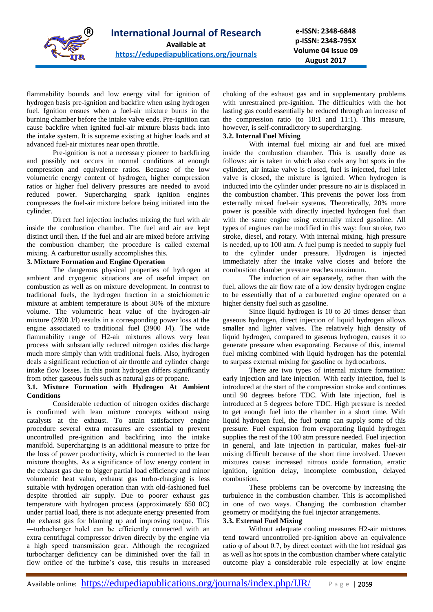

flammability bounds and low energy vital for ignition of hydrogen basis pre-ignition and backfire when using hydrogen fuel. Ignition ensues when a fuel-air mixture burns in the burning chamber before the intake valve ends. Pre-ignition can cause backfire when ignited fuel-air mixture blasts back into the intake system. It is supreme existing at higher loads and at advanced fuel-air mixtures near open throttle.

Pre-ignition is not a necessary pioneer to backfiring and possibly not occurs in normal conditions at enough compression and equivalence ratios. Because of the low volumetric energy content of hydrogen, higher compression ratios or higher fuel delivery pressures are needed to avoid reduced power. Supercharging spark ignition engines compresses the fuel-air mixture before being initiated into the cylinder.

Direct fuel injection includes mixing the fuel with air inside the combustion chamber. The fuel and air are kept distinct until then. If the fuel and air are mixed before arriving the combustion chamber; the procedure is called external mixing. A carburettor usually accomplishes this.

# **3. Mixture Formation and Engine Operation**

The dangerous physical properties of hydrogen at ambient and cryogenic situations are of useful impact on combustion as well as on mixture development. In contrast to traditional fuels, the hydrogen fraction in a stoichiometric mixture at ambient temperature is about 30% of the mixture volume. The volumetric heat value of the hydrogen-air mixture (2890 J/l) results in a corresponding power loss at the engine associated to traditional fuel (3900 J/l). The wide flammability range of H2-air mixtures allows very lean process with substantially reduced nitrogen oxides discharge much more simply than with traditional fuels. Also, hydrogen deals a significant reduction of air throttle and cylinder charge intake flow losses. In this point hydrogen differs significantly from other gaseous fuels such as natural gas or propane.

## **3.1. Mixture Formation with Hydrogen At Ambient Conditions**

Considerable reduction of nitrogen oxides discharge is confirmed with lean mixture concepts without using catalysts at the exhaust. To attain satisfactory engine procedure several extra measures are essential to prevent uncontrolled pre-ignition and backfiring into the intake manifold. Supercharging is an additional measure to prize for the loss of power productivity, which is connected to the lean mixture thoughts. As a significance of low energy content in the exhaust gas due to bigger partial load efficiency and minor volumetric heat value, exhaust gas turbo-charging is less suitable with hydrogen operation than with old-fashioned fuel despite throttled air supply. Due to poorer exhaust gas temperature with hydrogen process (approximately 650 0C) under partial load, there is not adequate energy presented from the exhaust gas for blaming up and improving torque. This ―turbocharger hole‖ can be efficiently connected with an extra centrifugal compressor driven directly by the engine via a high speed transmission gear. Although the recognized turbocharger deficiency can be diminished over the fall in flow orifice of the turbine's case, this results in increased

choking of the exhaust gas and in supplementary problems with unrestrained pre-ignition. The difficulties with the hot lasting gas could essentially be reduced through an increase of the compression ratio (to 10:1 and 11:1). This measure, however, is self-contradictory to supercharging.

# **3.2. Internal Fuel Mixing**

With internal fuel mixing air and fuel are mixed inside the combustion chamber. This is usually done as follows: air is taken in which also cools any hot spots in the cylinder, air intake valve is closed, fuel is injected, fuel inlet valve is closed, the mixture is ignited. When hydrogen is inducted into the cylinder under pressure no air is displaced in the combustion chamber. This prevents the power loss from externally mixed fuel-air systems. Theoretically, 20% more power is possible with directly injected hydrogen fuel than with the same engine using externally mixed gasoline. All types of engines can be modified in this way: four stroke, two stroke, diesel, and rotary. With internal mixing, high pressure is needed, up to 100 atm. A fuel pump is needed to supply fuel to the cylinder under pressure. Hydrogen is injected immediately after the intake valve closes and before the combustion chamber pressure reaches maximum.

The induction of air separately, rather than with the fuel, allows the air flow rate of a low density hydrogen engine to be essentially that of a carburetted engine operated on a higher density fuel such as gasoline.

Since liquid hydrogen is 10 to 20 times denser than gaseous hydrogen, direct injection of liquid hydrogen allows smaller and lighter valves. The relatively high density of liquid hydrogen, compared to gaseous hydrogen, causes it to generate pressure when evaporating. Because of this, internal fuel mixing combined with liquid hydrogen has the potential to surpass external mixing for gasoline or hydrocarbons.

There are two types of internal mixture formation: early injection and late injection. With early injection, fuel is introduced at the start of the compression stroke and continues until 90 degrees before TDC. With late injection, fuel is introduced at 5 degrees before TDC. High pressure is needed to get enough fuel into the chamber in a short time. With liquid hydrogen fuel, the fuel pump can supply some of this pressure. Fuel expansion from evaporating liquid hydrogen supplies the rest of the 100 atm pressure needed. Fuel injection in general, and late injection in particular, makes fuel-air mixing difficult because of the short time involved. Uneven mixtures cause: increased nitrous oxide formation, erratic ignition, ignition delay, incomplete combustion, delayed combustion.

These problems can be overcome by increasing the turbulence in the combustion chamber. This is accomplished in one of two ways. Changing the combustion chamber geometry or modifying the fuel injector arrangements.

# **3.3. External Fuel Mixing**

Without adequate cooling measures H2-air mixtures tend toward uncontrolled pre-ignition above an equivalence ratio  $\varphi$  of about 0.7, by direct contact with the hot residual gas as well as hot spots in the combustion chamber where catalytic outcome play a considerable role especially at low engine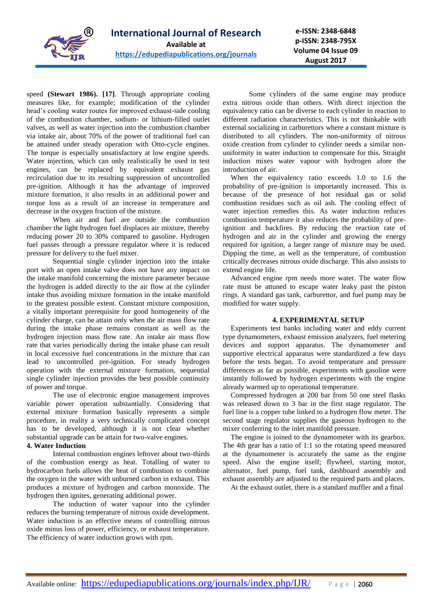

speed **(Stewart 1986). [17]**. Through appropriate cooling measures like, for example; modification of the cylinder head's cooling water routes for improved exhaust-side cooling of the combustion chamber, sodium- or lithium-filled outlet valves, as well as water injection into the combustion chamber via intake air, about 70% of the power of traditional fuel can be attained under steady operation with Otto-cycle engines. The torque is especially unsatisfactory at low engine speeds. Water injection, which can only realistically be used in test engines, can be replaced by equivalent exhaust gas recirculation due to its resulting suppression of uncontrolled pre-ignition. Although it has the advantage of improved mixture formation, it also results in an additional power and torque loss as a result of an increase in temperature and decrease in the oxygen fraction of the mixture.

When air and fuel are outside the combustion chamber the light hydrogen fuel displaces air mixture, thereby reducing power 20 to 30% compared to gasoline. Hydrogen fuel passes through a pressure regulator where it is reduced pressure for delivery to the fuel mixer.

Sequential single cylinder injection into the intake port with an open intake valve does not have any impact on the intake manifold concerning the mixture parameter because the hydrogen is added directly to the air flow at the cylinder intake thus avoiding mixture formation in the intake manifold to the greatest possible extent. Constant mixture composition, a vitally important prerequisite for good homogeneity of the cylinder charge, can be attain only when the air mass flow rate during the intake phase remains constant as well as the hydrogen injection mass flow rate. An intake air mass flow rate that varies periodically during the intake phase can result in local excessive fuel concentrations in the mixture that can lead to uncontrolled pre-ignition. For steady hydrogen operation with the external mixture formation, sequential single cylinder injection provides the best possible continuity of power and torque.

The use of electronic engine management improves variable power operation substantially. Considering that external mixture formation basically represents a simple procedure, in reality a very technically complicated concept has to be developed, although it is not clear whether substantial upgrade can be attain for two-valve engines.

# **4. Water Induction**

Internal combustion engines leftover about two-thirds of the combustion energy as heat. Totalling of water to hydrocarbon fuels allows the heat of combustion to combine the oxygen in the water with unburned carbon in exhaust. This produces a mixture of hydrogen and carbon monoxide. The hydrogen then ignites, generating additional power.

The induction of water vapour into the cylinder reduces the burning temperature of nitrous oxide development. Water induction is an effective means of controlling nitrous oxide minus loss of power, efficiency, or exhaust temperature. The efficiency of water induction grows with rpm.

Some cylinders of the same engine may produce extra nitrous oxide than others. With direct injection the equivalency ratio can be diverse to each cylinder in reaction to different radiation characteristics. This is not thinkable with external socializing in carburettors where a constant mixture is distributed to all cylinders. The non-uniformity of nitrous oxide creation from cylinder to cylinder needs a similar nonuniformity in water induction to compensate for this. Straight induction mixes water vapour with hydrogen afore the introduction of air.

When the equivalency ratio exceeds 1.0 to 1.6 the probability of pre-ignition is importantly increased. This is because of the presence of hot residual gas or solid combustion residues such as oil ash. The cooling effect of water injection remedies this. As water induction reduces combustion temperature it also reduces the probability of preignition and backfires. By reducing the reaction rate of hydrogen and air in the cylinder and growing the energy required for ignition, a larger range of mixture may be used. Dipping the time, as well as the temperature, of combustion critically decreases nitrous oxide discharge. This also assists to extend engine life.

Advanced engine rpm needs more water. The water flow rate must be attuned to escape water leaky past the piston rings. A standard gas tank, carburettor, and fuel pump may be modified for water supply.

#### **4. EXPERIMENTAL SETUP**

Experiments test banks including water and eddy current type dynamometers, exhaust emission analyzers, fuel metering devices and support apparatus. The dynamometer and supportive electrical apparatus were standardized a few days before the tests began. To avoid temperature and pressure differences as far as possible, experiments with gasoline were instantly followed by hydrogen experiments with the engine already warmed up to operational temperature.

Compressed hydrogen at 200 bar from 50 one steel flasks was released down to 3 bar in the first stage regulator. The fuel line is a copper tube linked to a hydrogen flow meter. The second stage regulator supplies the gaseous hydrogen to the mixer conferring to the inlet manifold pressure.

The engine is joined to the dynamometer with its gearbox. The 4th gear has a ratio of 1:1 so the rotating speed measured at the dynamometer is accurately the same as the engine speed. Also the engine itself; flywheel, starting motor, alternator, fuel pump, fuel tank, dashboard assembly and exhaust assembly are adjusted to the required parts and places.

At the exhaust outlet, there is a standard muffler and a final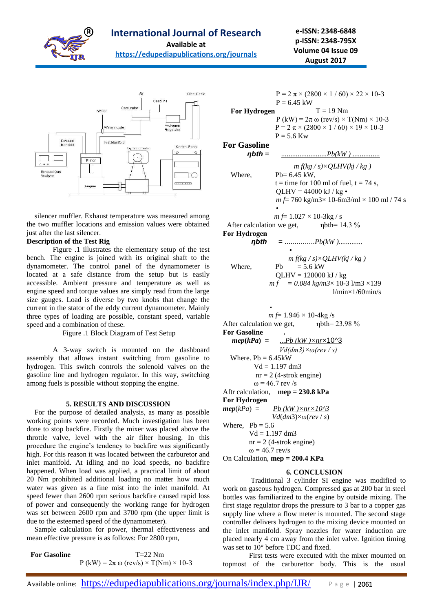

**International Journal of Research Available at** 

**e-ISSN: 2348-6848 p-ISSN: 2348-795X Volume 04 Issue 09 August 2017**





silencer muffler. Exhaust temperature was measured among the two muffler locations and emission values were obtained just after the last silencer.

## **Description of the Test Rig**

Figure .1 illustrates the elementary setup of the test bench. The engine is joined with its original shaft to the dynamometer. The control panel of the dynamometer is located at a safe distance from the setup but is easily accessible. Ambient pressure and temperature as well as engine speed and torque values are simply read from the large size gauges. Load is diverse by two knobs that change the current in the stator of the eddy current dynamometer. Mainly three types of loading are possible, constant speed, variable speed and a combination of these.

Figure .1 Block Diagram of Test Setup

A 3-way switch is mounted on the dashboard assembly that allows instant switching from gasoline to hydrogen. This switch controls the solenoid valves on the gasoline line and hydrogen regulator. In this way, switching among fuels is possible without stopping the engine.

#### **5. RESULTS AND DISCUSSION**

For the purpose of detailed analysis, as many as possible working points were recorded. Much investigation has been done to stop backfire. Firstly the mixer was placed above the throttle valve, level with the air filter housing. In this procedure the engine's tendency to backfire was significantly high. For this reason it was located between the carburetor and inlet manifold. At idling and no load speeds, no backfire happened. When load was applied, a practical limit of about 20 Nm prohibited additional loading no matter how much water was given as a fine mist into the inlet manifold. At speed fewer than 2600 rpm serious backfire caused rapid loss of power and consequently the working range for hydrogen was set between 2600 rpm and 3700 rpm (the upper limit is due to the esteemed speed of the dynamometer).

Sample calculation for power, thermal effectiveness and mean effective pressure is as follows: For 2800 rpm,

| <b>For Gasoline</b> | $T=22$ Nm                                       |
|---------------------|-------------------------------------------------|
|                     | $P$ (kW) = $2\pi \omega$ (rev/s) × T(Nm) × 10-3 |

|                           | $P = 2 \pi \times (2800 \times 1 / 60) \times 22 \times 10-3$                                          |
|---------------------------|--------------------------------------------------------------------------------------------------------|
|                           | $P = 6.45$ kW                                                                                          |
| <b>For Hydrogen</b>       | $T = 19$ Nm                                                                                            |
|                           | P (kW) = $2\pi \omega$ (rev/s) × T(Nm) × 10-3                                                          |
|                           | $P = 2 \pi \times (2800 \times 1 / 60) \times 19 \times 10-3$                                          |
|                           | $P = 5.6$ Kw                                                                                           |
| <b>For Gasoline</b>       |                                                                                                        |
| $n$ bth $=$               |                                                                                                        |
|                           | $m f(kg / s) \times QLHV(kj / kg)$                                                                     |
| Where,                    | $Pb = 6.45$ kW,                                                                                        |
|                           | t = time for 100 ml of fuel, t = 74 s,                                                                 |
|                           | $QLHV = 44000 kJ/kg$                                                                                   |
|                           | $m \neq 760 \text{ kg/m}3 \times 10\text{-}6 \text{m}3/\text{ml} \times 100 \text{ ml} / 74 \text{ s}$ |
|                           |                                                                                                        |
|                           | $m \ne 1.027 \times 10\text{-}3\text{kg/s}$                                                            |
| After calculation we get, | $\mu$ h <sub>th</sub> = 14.3 %                                                                         |
| For Hydrogen              |                                                                                                        |
|                           |                                                                                                        |
|                           |                                                                                                        |
|                           | $m f(kg / s) \times QLHV(kj / kg)$                                                                     |
| Where.                    | $= 5.6$ kW<br>Pb                                                                                       |

where,

\n
$$
P0 = 5.0 \text{ kW}
$$
\n
$$
QLHV = 120000 \text{ kJ/kg}
$$
\n
$$
mf = 0.084 \text{ kg/m3} \times 10-3 \text{ l/m3} \times 139 \text{ J/min} \times 1/60 \text{min/s}
$$

$$
m f= 1.946 \times 10-4 \text{kg/s}
$$
  
After calculation we get, 
$$
n bth= 23.98 %
$$
  
For Gasoline  

$$
m e p (kPa) = \frac{p b (kW) \times n r \times 10^{10} \text{m}}{4 (d m 3) \times \omega (r e v / s)}
$$
  
Where. Pb = 6.45kW  
Vd = 1.197 dm3  
nr = 2 (4-strok engine)  
ω = 46.7 rev/s  
Alfr calculation, **mep = 230.8 kPa**  
For Hydrogen  

$$
m e p (kPa) = \frac{p b (kW) \times n r \times 10^{10} \text{m}}{V d (d m 3) \times \omega (r e v / s)}
$$
  
Where, Pb = 5.6  
Vd = 1.197 dm3  
nr = 2 (4-strok engine)  
ω = 46.7 rev/s  
On Calculation, **mep = 200.4 kPa**

#### **6. CONCLUSION**

Traditional 3 cylinder SI engine was modified to work on gaseous hydrogen. Compressed gas at 200 bar in steel bottles was familiarized to the engine by outside mixing. The first stage regulator drops the pressure to 3 bar to a copper gas supply line where a flow meter is mounted. The second stage controller delivers hydrogen to the mixing device mounted on the inlet manifold. Spray nozzles for water induction are placed nearly 4 cm away from the inlet valve. Ignition timing was set to 10° before TDC and fixed.

First tests were executed with the mixer mounted on topmost of the carburettor body. This is the usual